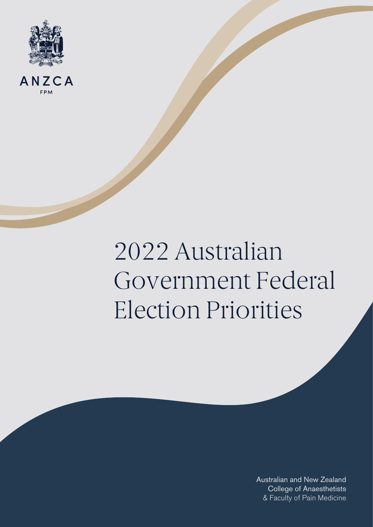



# 2022 Australian Government Federal Election Priorities

& Faculty of Pain Medicine Australian and New Zealand College of Anaesthetists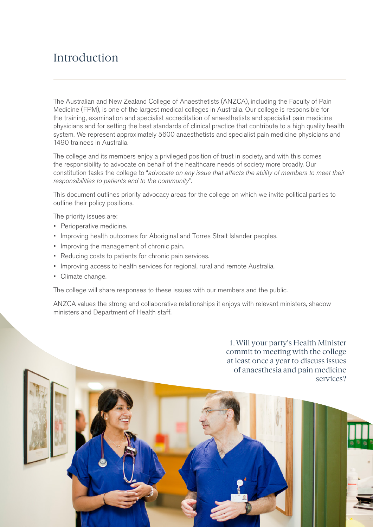#### Introduction

The Australian and New Zealand College of Anaesthetists (ANZCA), including the Faculty of Pain Medicine (FPM), is one of the largest medical colleges in Australia. Our college is responsible for the training, examination and specialist accreditation of anaesthetists and specialist pain medicine physicians and for setting the best standards of clinical practice that contribute to a high quality health system. We represent approximately 5600 anaesthetists and specialist pain medicine physicians and 1490 trainees in Australia.

The college and its members enjoy a privileged position of trust in society, and with this comes the responsibility to advocate on behalf of the healthcare needs of society more broadly. Our constitution tasks the college to "*advocate on any issue that affects the ability of members to meet their responsibilities to patients and to the community*".

This document outlines priority advocacy areas for the college on which we invite political parties to outline their policy positions.

The priority issues are:

- Perioperative medicine.
- Improving health outcomes for Aboriginal and Torres Strait Islander peoples.
- Improving the management of chronic pain.
- Reducing costs to patients for chronic pain services.
- Improving access to health services for regional, rural and remote Australia.
- Climate change.

The college will share responses to these issues with our members and the public.

ANZCA values the strong and collaborative relationships it enjoys with relevant ministers, shadow ministers and Department of Health staff.

> 1. Will your party's Health Minister commit to meeting with the college at least once a year to discuss issues of anaesthesia and pain medicine services?

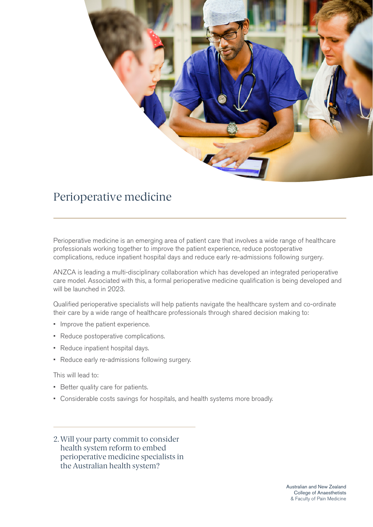

# Perioperative medicine

Perioperative medicine is an emerging area of patient care that involves a wide range of healthcare professionals working together to improve the patient experience, reduce postoperative complications, reduce inpatient hospital days and reduce early re-admissions following surgery.

ANZCA is leading a multi-disciplinary collaboration which has developed an integrated perioperative care model. Associated with this, a formal perioperative medicine qualification is being developed and will be launched in 2023.

Qualified perioperative specialists will help patients navigate the healthcare system and co-ordinate their care by a wide range of healthcare professionals through shared decision making to:

- Improve the patient experience.
- Reduce postoperative complications.
- Reduce inpatient hospital days.
- Reduce early re-admissions following surgery.

This will lead to:

- Better quality care for patients.
- Considerable costs savings for hospitals, and health systems more broadly.
- 2. Will your party commit to consider health system reform to embed perioperative medicine specialists in the Australian health system?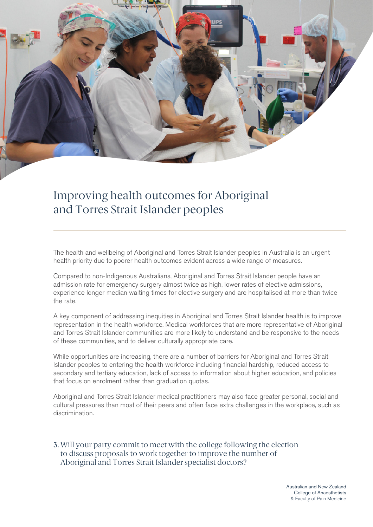

# Improving health outcomes for Aboriginal and Torres Strait Islander peoples

The health and wellbeing of Aboriginal and Torres Strait Islander peoples in Australia is an urgent health priority due to poorer health outcomes evident across a wide range of measures.

Compared to non-Indigenous Australians, Aboriginal and Torres Strait Islander people have an admission rate for emergency surgery almost twice as high, lower rates of elective admissions, experience longer median waiting times for elective surgery and are hospitalised at more than twice the rate.

A key component of addressing inequities in Aboriginal and Torres Strait Islander health is to improve representation in the health workforce. Medical workforces that are more representative of Aboriginal and Torres Strait Islander communities are more likely to understand and be responsive to the needs of these communities, and to deliver culturally appropriate care.

While opportunities are increasing, there are a number of barriers for Aboriginal and Torres Strait Islander peoples to entering the health workforce including financial hardship, reduced access to secondary and tertiary education, lack of access to information about higher education, and policies that focus on enrolment rather than graduation quotas.

Aboriginal and Torres Strait Islander medical practitioners may also face greater personal, social and cultural pressures than most of their peers and often face extra challenges in the workplace, such as discrimination.

3. Will your party commit to meet with the college following the election to discuss proposals to work together to improve the number of Aboriginal and Torres Strait Islander specialist doctors?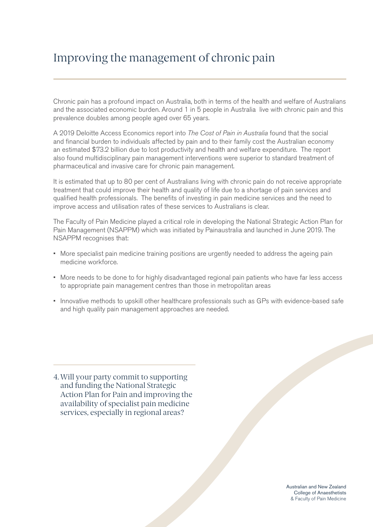# Improving the management of chronic pain

Chronic pain has a profound impact on Australia, both in terms of the health and welfare of Australians and the associated economic burden. Around 1 in 5 people in Australia live with chronic pain and this prevalence doubles among people aged over 65 years.

A 2019 Deloitte Access Economics report into *The Cost of Pain in Australia* found that the social and financial burden to individuals affected by pain and to their family cost the Australian economy an estimated \$73.2 billion due to lost productivity and health and welfare expenditure. The report also found multidisciplinary pain management interventions were superior to standard treatment of pharmaceutical and invasive care for chronic pain management.

It is estimated that up to 80 per cent of Australians living with chronic pain do not receive appropriate treatment that could improve their health and quality of life due to a shortage of pain services and qualified health professionals. The benefits of investing in pain medicine services and the need to improve access and utilisation rates of these services to Australians is clear.

The Faculty of Pain Medicine played a critical role in developing the National Strategic Action Plan for Pain Management (NSAPPM) which was initiated by Painaustralia and launched in June 2019. The NSAPPM recognises that:

- More specialist pain medicine training positions are urgently needed to address the ageing pain medicine workforce.
- More needs to be done to for highly disadvantaged regional pain patients who have far less access to appropriate pain management centres than those in metropolitan areas
- Innovative methods to upskill other healthcare professionals such as GPs with evidence-based safe and high quality pain management approaches are needed.

4. Will your party commit to supporting and funding the National Strategic Action Plan for Pain and improving the availability of specialist pain medicine services, especially in regional areas?

> Australian and New Zealand College of Anaesthetists & Faculty of Pain Medicine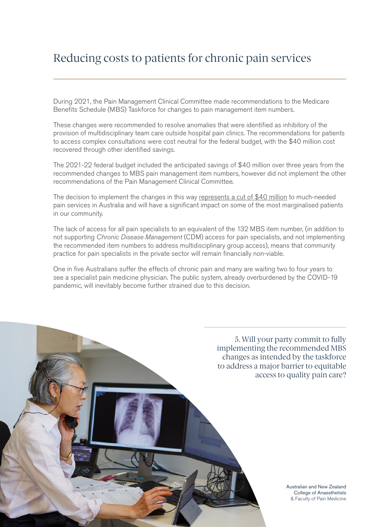### Reducing costs to patients for chronic pain services

During 2021, the Pain Management Clinical Committee made recommendations to the Medicare Benefits Schedule (MBS) Taskforce for changes to pain management item numbers.

These changes were recommended to resolve anomalies that were identified as inhibitory of the provision of multidisciplinary team care outside hospital pain clinics. The recommendations for patients to access complex consultations were cost neutral for the federal budget, with the \$40 million cost recovered through other identified savings.

The 2021-22 federal budget included the anticipated savings of \$40 million over three years from the recommended changes to MBS pain management item numbers, however did not implement the other recommendations of the Pain Management Clinical Committee.

The decision to implement the changes in this way [represents a cut of \\$40 million](https://www.anzca.edu.au/news/fpm-news/mbs-decision-ffpmanzas-urged-to-take-actio) to much-needed pain services in Australia and will have a significant impact on some of the most marginalised patients in our community.

The lack of access for all pain specialists to an equivalent of the 132 MBS item number, (in addition to not supporting *Chronic Disease Management* (CDM) access for pain specialists, and not implementing the recommended item numbers to address multidisciplinary group access), means that community practice for pain specialists in the private sector will remain financially non-viable.

One in five Australians suffer the effects of chronic pain and many are waiting two to four years to see a specialist pain medicine physician. The public system, already overburdened by the COVID-19 pandemic, will inevitably become further strained due to this decision.

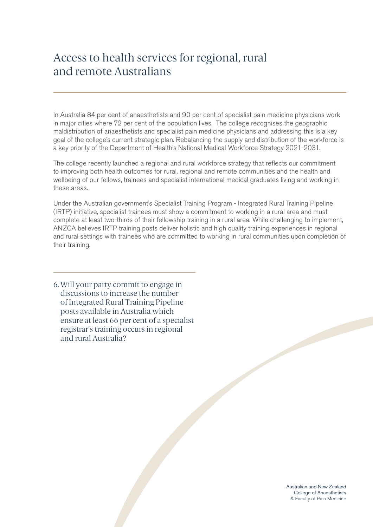#### Access to health services for regional, rural and remote Australians

In Australia 84 per cent of anaesthetists and 90 per cent of specialist pain medicine physicians work in major cities where 72 per cent of the population lives. The college recognises the geographic maldistribution of anaesthetists and specialist pain medicine physicians and addressing this is a key goal of the college's current strategic plan. Rebalancing the supply and distribution of the workforce is a key priority of the Department of Health's National Medical Workforce Strategy 2021-2031.

The college recently launched a regional and rural workforce strategy that reflects our commitment to improving both health outcomes for rural, regional and remote communities and the health and wellbeing of our fellows, trainees and specialist international medical graduates living and working in these areas.

Under the Australian government's Specialist Training Program - Integrated Rural Training Pipeline (IRTP) initiative, specialist trainees must show a commitment to working in a rural area and must complete at least two-thirds of their fellowship training in a rural area. While challenging to implement, ANZCA believes IRTP training posts deliver holistic and high quality training experiences in regional and rural settings with trainees who are committed to working in rural communities upon completion of their training.

6. Will your party commit to engage in discussions to increase the number of Integrated Rural Training Pipeline posts available in Australia which ensure at least 66 per cent of a specialist registrar's training occurs in regional and rural Australia?

> Australian and New Zealand College of Anaesthetists & Faculty of Pain Medicine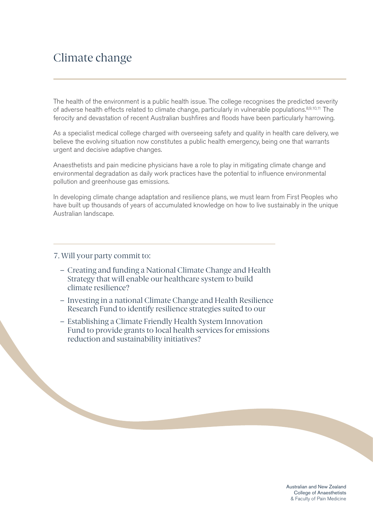#### Climate change

The health of the environment is a public health issue. The college recognises the predicted severity of adverse health effects related to climate change, particularly in vulnerable populations.<sup>8,9,10,11</sup> The ferocity and devastation of recent Australian bushfires and floods have been particularly harrowing.

As a specialist medical college charged with overseeing safety and quality in health care delivery, we believe the evolving situation now constitutes a public health emergency, being one that warrants urgent and decisive adaptive changes.

Anaesthetists and pain medicine physicians have a role to play in mitigating climate change and environmental degradation as daily work practices have the potential to influence environmental pollution and greenhouse gas emissions.

In developing climate change adaptation and resilience plans, we must learn from First Peoples who have built up thousands of years of accumulated knowledge on how to live sustainably in the unique Australian landscape.

#### 7. Will your party commit to:

- Creating and funding a National Climate Change and Health Strategy that will enable our healthcare system to build climate resilience?
- Investing in a national Climate Change and Health Resilience Research Fund to identify resilience strategies suited to our
- Establishing a Climate Friendly Health System Innovation Fund to provide grants to local health services for emissions reduction and sustainability initiatives?

Australian and New Zealand College of Anaesthetists & Faculty of Pain Medicine